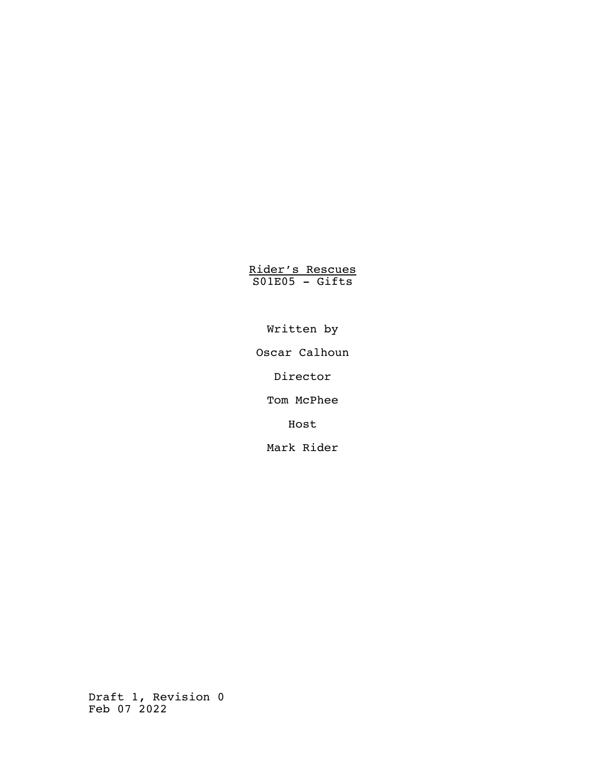Rider's Rescues S01E05 - Gifts

Written by

Oscar Calhoun

Director

Tom McPhee

Host

Mark Rider

Draft 1, Revision 0 Feb 07 2022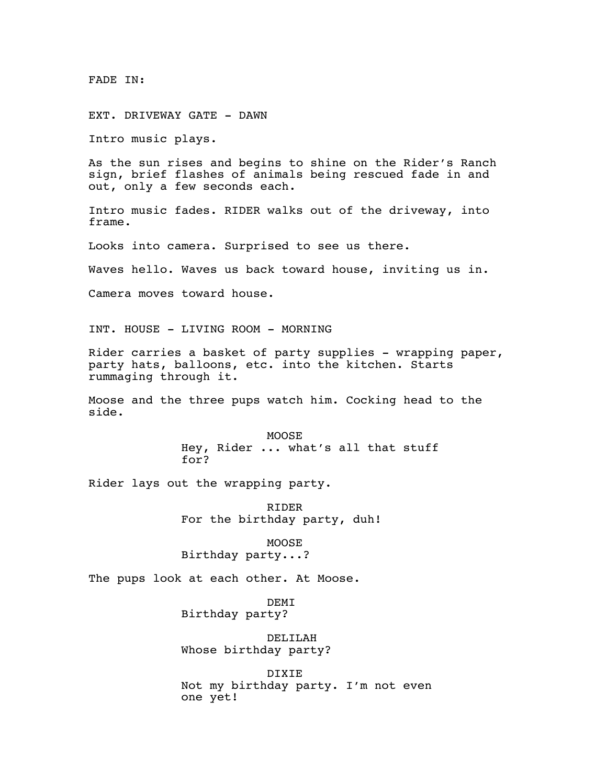FADE IN:

EXT. DRIVEWAY GATE - DAWN

Intro music plays.

As the sun rises and begins to shine on the Rider's Ranch sign, brief flashes of animals being rescued fade in and out, only a few seconds each.

Intro music fades. RIDER walks out of the driveway, into frame.

Looks into camera. Surprised to see us there.

Waves hello. Waves us back toward house, inviting us in.

Camera moves toward house.

INT. HOUSE - LIVING ROOM - MORNING

Rider carries a basket of party supplies - wrapping paper, party hats, balloons, etc. into the kitchen. Starts rummaging through it.

Moose and the three pups watch him. Cocking head to the side.

> MOOSE Hey, Rider ... what's all that stuff for?

Rider lays out the wrapping party.

RIDER For the birthday party, duh!

MOOSE Birthday party...?

The pups look at each other. At Moose.

DEMI Birthday party?

DELILAH Whose birthday party?

DIXIE Not my birthday party. I'm not even one yet!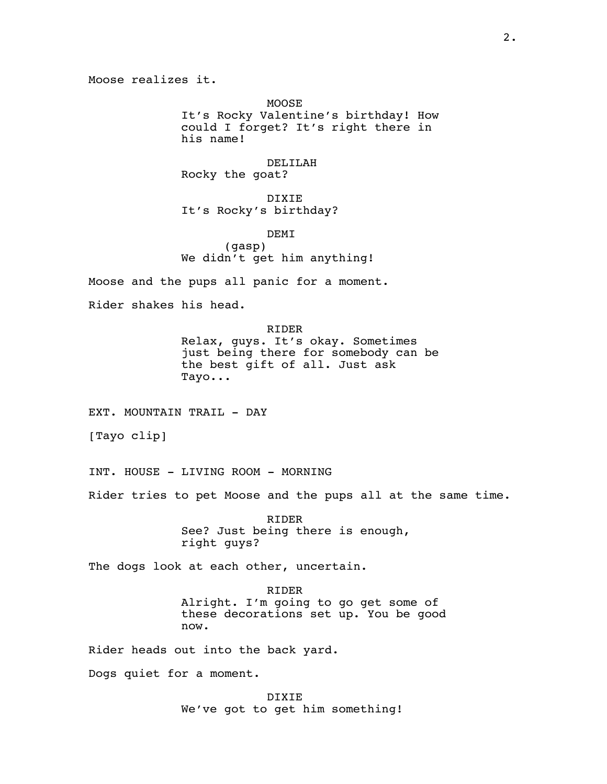Moose realizes it.

MOOSE It's Rocky Valentine's birthday! How could I forget? It's right there in his name!

DELILAH Rocky the goat?

DIXIE It's Rocky's birthday?

DEMI (gasp) We didn't get him anything!

Moose and the pups all panic for a moment.

Rider shakes his head.

RIDER Relax, guys. It's okay. Sometimes

just being there for somebody can be the best gift of all. Just ask Tayo...

EXT. MOUNTAIN TRAIL - DAY

[Tayo clip]

INT. HOUSE - LIVING ROOM - MORNING

Rider tries to pet Moose and the pups all at the same time.

RIDER See? Just being there is enough, right guys?

The dogs look at each other, uncertain.

RIDER Alright. I'm going to go get some of these decorations set up. You be good now.

Rider heads out into the back yard.

Dogs quiet for a moment.

DIXIE We've got to get him something!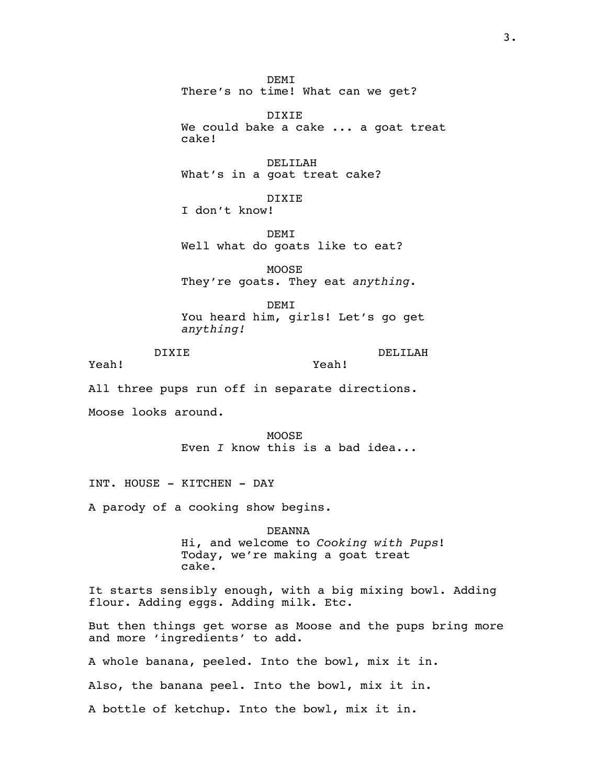DIXIE We could bake a cake ... a goat treat cake! DELILAH What's in a goat treat cake? DIXIE I don't know! DEMI Well what do goats like to eat? MOOSE They're goats. They eat *anything*. DEMI You heard him, girls! Let's go get *anything!* DIXIE Yeah! DELILAH Yeah! All three pups run off in separate directions. Moose looks around. MOOSE Even *I* know this is a bad idea... INT. HOUSE - KITCHEN - DAY A parody of a cooking show begins. DEANNA Hi, and welcome to *Cooking with Pups*! Today, we're making a goat treat cake. It starts sensibly enough, with a big mixing bowl. Adding flour. Adding eggs. Adding milk. Etc. But then things get worse as Moose and the pups bring more and more 'ingredients' to add. A whole banana, peeled. Into the bowl, mix it in. Also, the banana peel. Into the bowl, mix it in. A bottle of ketchup. Into the bowl, mix it in.

DEMI

There's no time! What can we get?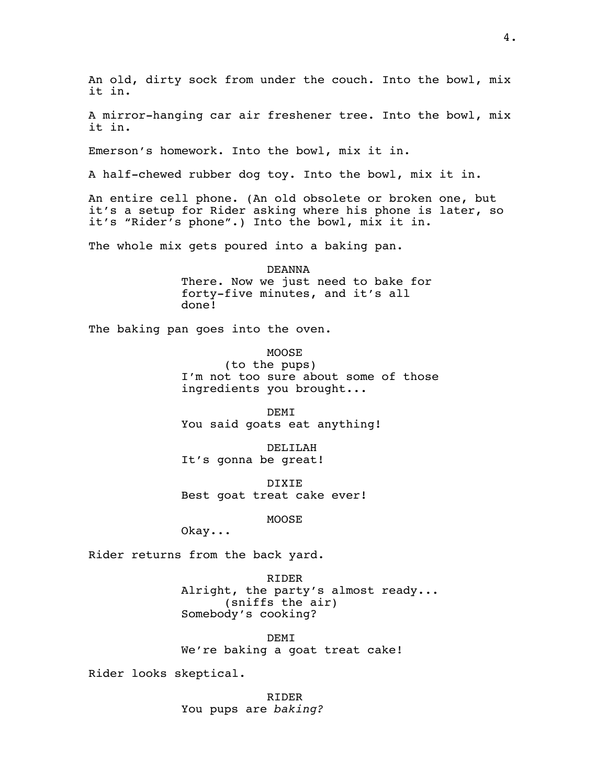An old, dirty sock from under the couch. Into the bowl, mix it in.

A mirror-hanging car air freshener tree. Into the bowl, mix it in.

Emerson's homework. Into the bowl, mix it in.

A half-chewed rubber dog toy. Into the bowl, mix it in.

An entire cell phone. (An old obsolete or broken one, but it's a setup for Rider asking where his phone is later, so it's "Rider's phone".) Into the bowl, mix it in.

The whole mix gets poured into a baking pan.

DEANNA There. Now we just need to bake for forty-five minutes, and it's all done!

The baking pan goes into the oven.

MOOSE (to the pups) I'm not too sure about some of those ingredients you brought...

DEMI You said goats eat anything!

DELILAH It's gonna be great!

DIXIE Best goat treat cake ever!

MOOSE

Okay...

Rider returns from the back yard.

RIDER Alright, the party's almost ready... (sniffs the air) Somebody's cooking?

DEMI We're baking a goat treat cake!

Rider looks skeptical.

RIDER You pups are *baking?*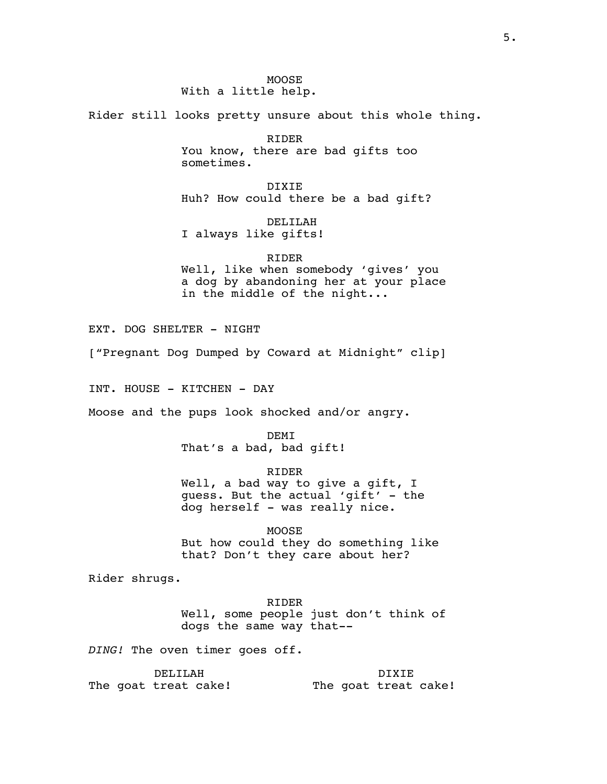Rider still looks pretty unsure about this whole thing.

RIDER You know, there are bad gifts too sometimes.

DIXIE Huh? How could there be a bad gift?

DELILAH I always like gifts!

RIDER Well, like when somebody 'gives' you a dog by abandoning her at your place in the middle of the night...

EXT. DOG SHELTER - NIGHT

["Pregnant Dog Dumped by Coward at Midnight" clip]

INT. HOUSE - KITCHEN - DAY

Moose and the pups look shocked and/or angry.

DEMI That's a bad, bad gift!

RIDER

Well, a bad way to give a gift, I guess. But the actual 'gift' - the dog herself - was really nice.

MOOSE But how could they do something like that? Don't they care about her?

Rider shrugs.

RIDER Well, some people just don't think of dogs the same way that--

*DING!* The oven timer goes off.

DELILAH The goat treat cake! DIXIE The goat treat cake!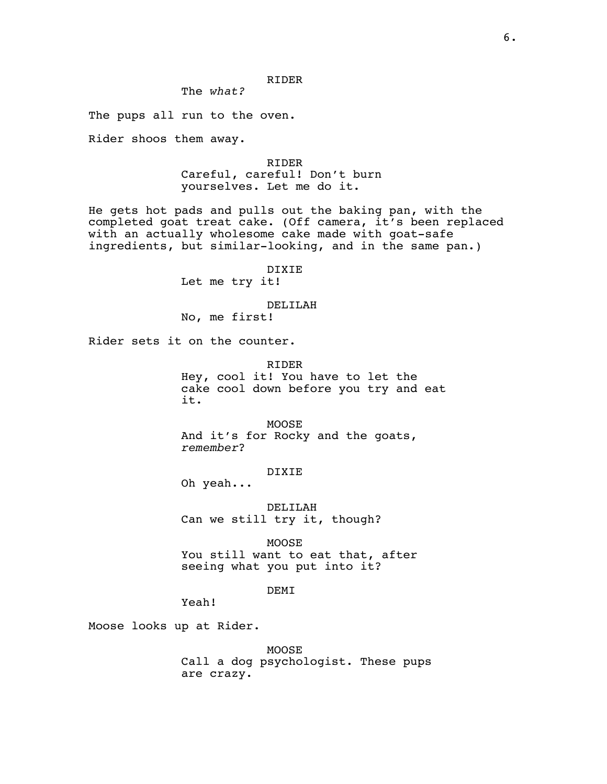## The *what?*

The pups all run to the oven.

Rider shoos them away.

RIDER Careful, careful! Don't burn yourselves. Let me do it.

He gets hot pads and pulls out the baking pan, with the completed goat treat cake. (Off camera, it's been replaced with an actually wholesome cake made with goat-safe ingredients, but similar-looking, and in the same pan.)

DIXIE

Let me try it!

## DELILAH

No, me first!

Rider sets it on the counter.

RIDER Hey, cool it! You have to let the cake cool down before you try and eat it.

MOOSE And it's for Rocky and the goats, *remember*?

## DIXIE

Oh yeah...

DELILAH Can we still try it, though?

MOOSE You still want to eat that, after seeing what you put into it?

## DEMI

Yeah!

Moose looks up at Rider.

MOOSE Call a dog psychologist. These pups are crazy.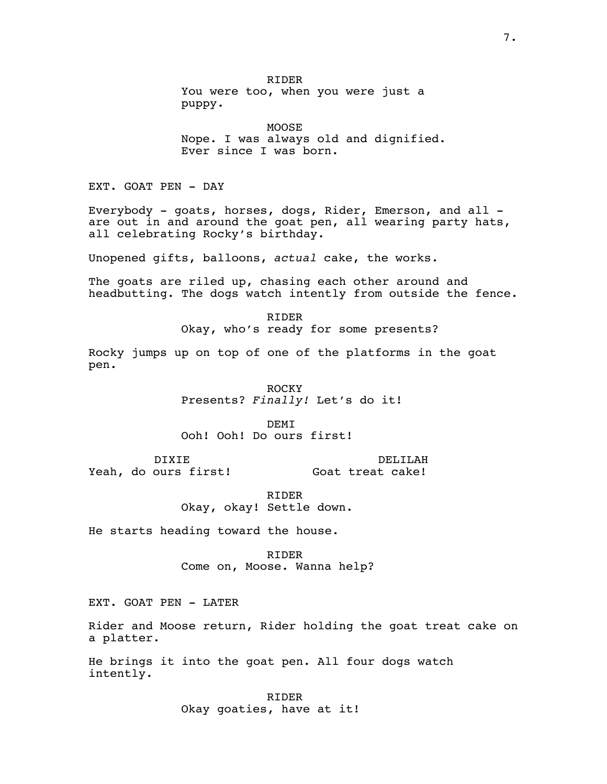RIDER You were too, when you were just a puppy.

MOOSE Nope. I was always old and dignified. Ever since I was born.

EXT. GOAT PEN - DAY

Everybody - goats, horses, dogs, Rider, Emerson, and all are out in and around the goat pen, all wearing party hats, all celebrating Rocky's birthday.

Unopened gifts, balloons, *actual* cake, the works.

The goats are riled up, chasing each other around and headbutting. The dogs watch intently from outside the fence.

> RIDER Okay, who's ready for some presents?

Rocky jumps up on top of one of the platforms in the goat pen.

> ROCKY Presents? *Finally!* Let's do it!

**DEMT** Ooh! Ooh! Do ours first!

DIXIE Yeah, do ours first! DELILAH Goat treat cake!

> RIDER Okay, okay! Settle down.

He starts heading toward the house.

RIDER Come on, Moose. Wanna help?

EXT. GOAT PEN - LATER

Rider and Moose return, Rider holding the goat treat cake on a platter.

He brings it into the goat pen. All four dogs watch intently.

> RIDER Okay goaties, have at it!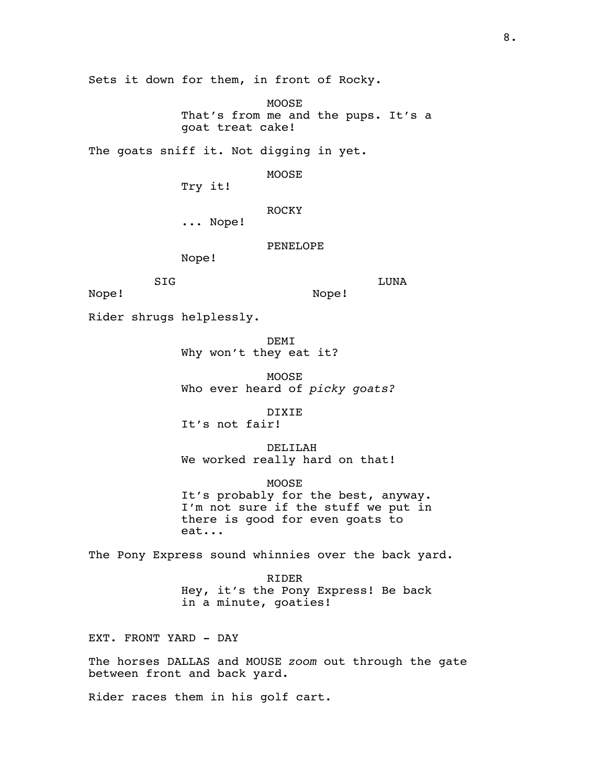Sets it down for them, in front of Rocky.

MOOSE That's from me and the pups. It's a goat treat cake!

The goats sniff it. Not digging in yet.

MOOSE

Try it!

ROCKY

... Nope!

PENELOPE

Nope!

LUNA

Nope!

Nope!

Rider shrugs helplessly.

SIG

**DEMT** Why won't they eat it?

MOOSE Who ever heard of *picky goats?*

DIXIE

It's not fair!

DELILAH We worked really hard on that!

MOOSE It's probably for the best, anyway. I'm not sure if the stuff we put in there is good for even goats to eat...

The Pony Express sound whinnies over the back yard.

RIDER Hey, it's the Pony Express! Be back in a minute, goaties!

EXT. FRONT YARD - DAY

The horses DALLAS and MOUSE *zoom* out through the gate between front and back yard.

Rider races them in his golf cart.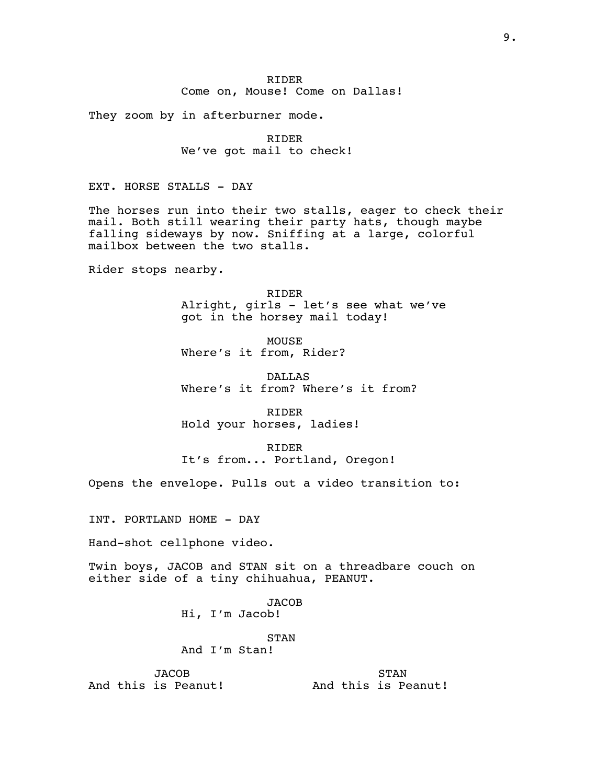RIDER Come on, Mouse! Come on Dallas!

They zoom by in afterburner mode.

RIDER We've got mail to check!

EXT. HORSE STALLS - DAY

The horses run into their two stalls, eager to check their mail. Both still wearing their party hats, though maybe falling sideways by now. Sniffing at a large, colorful mailbox between the two stalls.

Rider stops nearby.

RIDER Alright, girls - let's see what we've got in the horsey mail today!

MOUSE Where's it from, Rider?

DALLAS Where's it from? Where's it from?

RIDER Hold your horses, ladies!

RIDER It's from... Portland, Oregon!

Opens the envelope. Pulls out a video transition to:

INT. PORTLAND HOME - DAY

Hand-shot cellphone video.

Twin boys, JACOB and STAN sit on a threadbare couch on either side of a tiny chihuahua, PEANUT.

> JACOB Hi, I'm Jacob!

> > STAN

And I'm Stan!

**JACOB** And this is Peanut!

STAN And this is Peanut!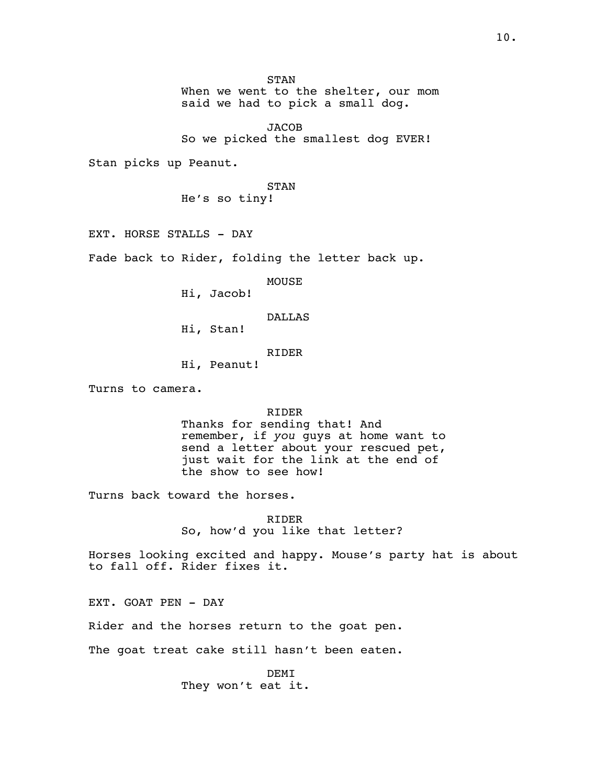STAN

When we went to the shelter, our mom said we had to pick a small dog.

**JACOB** So we picked the smallest dog EVER!

Stan picks up Peanut.

STAN He's so tiny!

EXT. HORSE STALLS - DAY

Fade back to Rider, folding the letter back up.

MOUSE

Hi, Jacob!

DALLAS

Hi, Stan!

RIDER

Hi, Peanut!

Turns to camera.

RIDER

Thanks for sending that! And remember, if *you* guys at home want to send a letter about your rescued pet, just wait for the link at the end of the show to see how!

Turns back toward the horses.

RIDER So, how'd you like that letter?

Horses looking excited and happy. Mouse's party hat is about to fall off. Rider fixes it.

EXT. GOAT PEN - DAY

Rider and the horses return to the goat pen.

The goat treat cake still hasn't been eaten.

DEMI They won't eat it.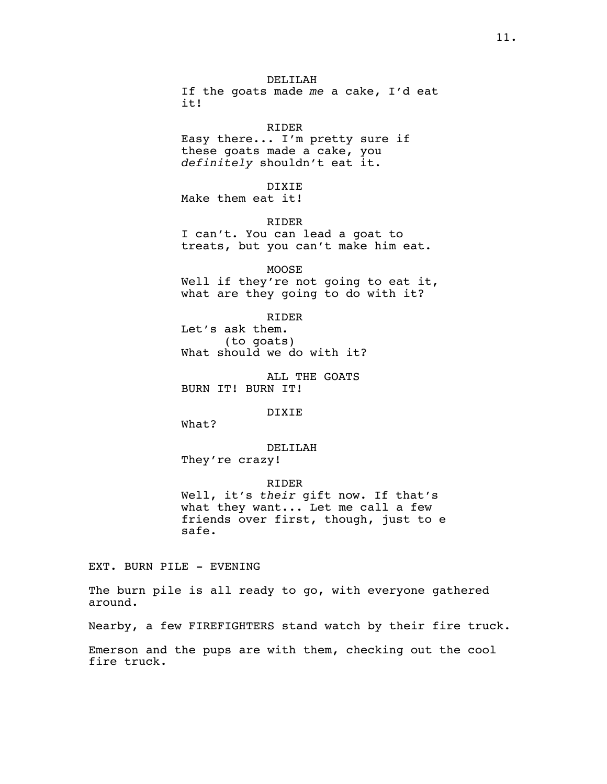DELILAH If the goats made *me* a cake, I'd eat it!

#### RIDER

Easy there... I'm pretty sure if these goats made a cake, you *definitely* shouldn't eat it.

DIXIE

Make them eat it!

RIDER I can't. You can lead a goat to treats, but you can't make him eat.

MOOSE Well if they're not going to eat it, what are they going to do with it?

RIDER Let's ask them. (to goats) What should we do with it?

ALL THE GOATS BURN IT! BURN IT!

DIXIE

What?

DELILAH

They're crazy!

RIDER Well, it's *their* gift now. If that's what they want... Let me call a few friends over first, though, just to e safe.

EXT. BURN PILE - EVENING

The burn pile is all ready to go, with everyone gathered around.

Nearby, a few FIREFIGHTERS stand watch by their fire truck.

Emerson and the pups are with them, checking out the cool fire truck.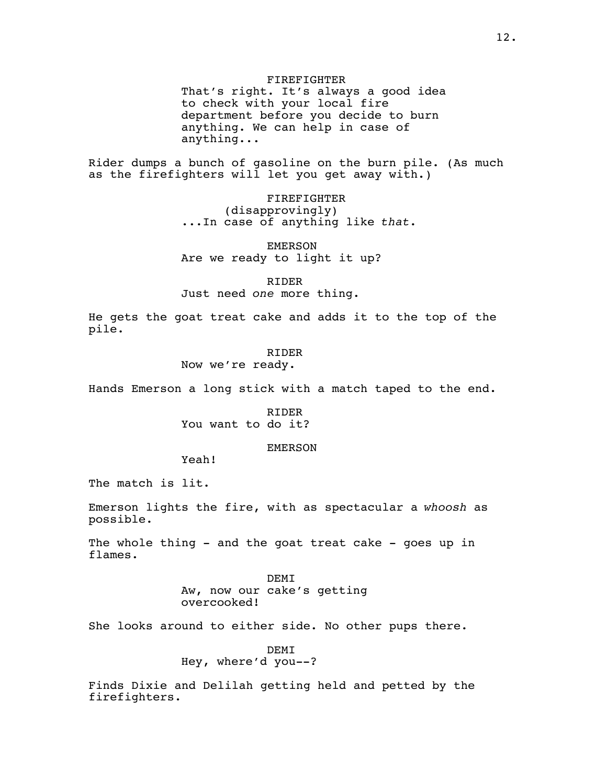FIREFIGHTER

That's right. It's always a good idea to check with your local fire department before you decide to burn anything. We can help in case of anything...

Rider dumps a bunch of gasoline on the burn pile. (As much as the firefighters will let you get away with.)

> FIREFIGHTER (disapprovingly) ...In case of anything like *that*.

EMERSON Are we ready to light it up?

RIDER

Just need *one* more thing.

He gets the goat treat cake and adds it to the top of the pile.

### RIDER

Now we're ready.

Hands Emerson a long stick with a match taped to the end.

RIDER You want to do it?

### EMERSON

Yeah!

The match is lit.

Emerson lights the fire, with as spectacular a *whoosh* as possible.

The whole thing - and the goat treat cake - goes up in flames.

> DEMI Aw, now our cake's getting overcooked!

She looks around to either side. No other pups there.

DEMI Hey, where'd you--?

Finds Dixie and Delilah getting held and petted by the firefighters.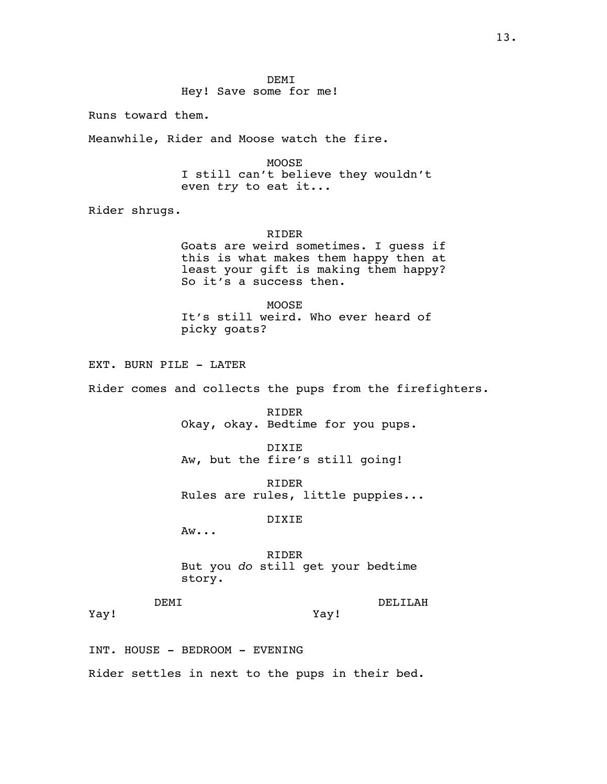**DEMT** Hey! Save some for me!

Runs toward them.

Meanwhile, Rider and Moose watch the fire.

MOOSE I still can't believe they wouldn't even *try* to eat it...

Rider shrugs.

RIDER Goats are weird sometimes. I guess if this is what makes them happy then at least your gift is making them happy? So it's a success then.

MOOSE It's still weird. Who ever heard of picky goats?

EXT. BURN PILE - LATER

Rider comes and collects the pups from the firefighters.

RIDER Okay, okay. Bedtime for you pups.

DIXIE Aw, but the fire's still going!

RIDER Rules are rules, little puppies...

DIXIE

Aw...

RIDER But you *do* still get your bedtime story.

Yay!

DEMI

DELILAH

Yay!

INT. HOUSE - BEDROOM - EVENING

Rider settles in next to the pups in their bed.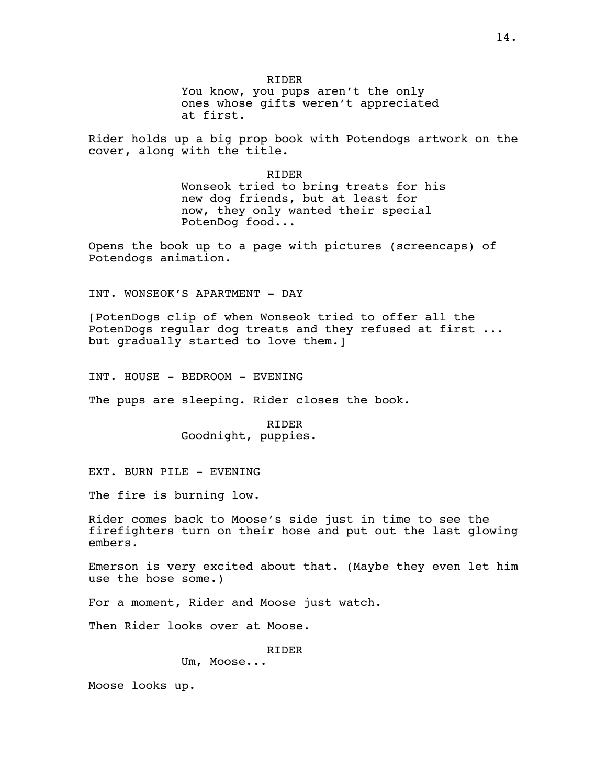RIDER You know, you pups aren't the only ones whose gifts weren't appreciated at first.

Rider holds up a big prop book with Potendogs artwork on the cover, along with the title.

> RIDER Wonseok tried to bring treats for his new dog friends, but at least for now, they only wanted their special PotenDog food...

Opens the book up to a page with pictures (screencaps) of Potendogs animation.

INT. WONSEOK'S APARTMENT - DAY

[PotenDogs clip of when Wonseok tried to offer all the PotenDogs regular dog treats and they refused at first ... but gradually started to love them.]

INT. HOUSE - BEDROOM - EVENING

The pups are sleeping. Rider closes the book.

RIDER Goodnight, puppies.

EXT. BURN PILE - EVENING

The fire is burning low.

Rider comes back to Moose's side just in time to see the firefighters turn on their hose and put out the last glowing embers.

Emerson is very excited about that. (Maybe they even let him use the hose some.)

For a moment, Rider and Moose just watch.

Then Rider looks over at Moose.

RIDER

Um, Moose...

Moose looks up.